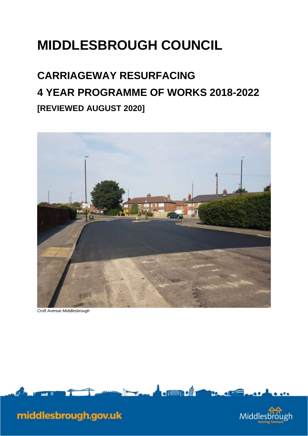## **MIDDLESBROUGH COUNCIL**

## **[REVIEWED AUGUST 2020] CARRIAGEWAY RESURFACING 4 YEAR PROGRAMME OF WORKS 2018-2022**



 *Croft Avenue Middlesbrough* 





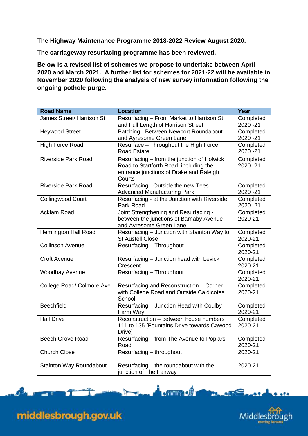**The Highway Maintenance Programme 2018-2022 Review August 2020.** 

**The carriageway resurfacing programme has been reviewed.** 

 **2020 and March 2021. A further list for schemes for 2021-22 will be available in ongoing pothole purge. Below is a revised list of schemes we propose to undertake between April November 2020 following the analysis of new survey information following the** 

| <b>Road Name</b>                 | <b>Location</b>                                                                                                                           | Year                   |
|----------------------------------|-------------------------------------------------------------------------------------------------------------------------------------------|------------------------|
| <b>James Street/ Harrison St</b> | Resurfacing - From Market to Harrison St,<br>and Full Length of Harrison Street                                                           | Completed<br>2020 - 21 |
| <b>Heywood Street</b>            | Patching - Between Newport Roundabout<br>and Ayresome Green Lane                                                                          | Completed<br>2020 - 21 |
| <b>High Force Road</b>           | Resurface - Throughout the High Force<br><b>Road Estate</b>                                                                               | Completed<br>2020 - 21 |
| <b>Riverside Park Road</b>       | Resurfacing - from the junction of Holwick<br>Road to Startforth Road; including the<br>entrance junctions of Drake and Raleigh<br>Courts | Completed<br>2020 - 21 |
| <b>Riverside Park Road</b>       | Resurfacing - Outside the new Tees<br><b>Advanced Manufacturing Park</b>                                                                  | Completed<br>2020 - 21 |
| <b>Collingwood Court</b>         | Resurfacing - at the Junction with Riverside<br>Park Road                                                                                 | Completed<br>2020 - 21 |
| <b>Acklam Road</b>               | Joint Strengthening and Resurfacing -<br>between the junctions of Barnaby Avenue<br>and Ayresome Green Lane                               | Completed<br>2020-21   |
| <b>Hemlington Hall Road</b>      | Resurfacing - Junction with Stainton Way to<br><b>St Austell Close</b>                                                                    | Completed<br>2020-21   |
| <b>Collinson Avenue</b>          | Resurfacing - Throughout                                                                                                                  | Completed<br>2020-21   |
| Croft Avenue                     | Resurfacing - Junction head with Levick<br>Crescent                                                                                       | Completed<br>2020-21   |
| <b>Woodhay Avenue</b>            | Resurfacing - Throughout                                                                                                                  | Completed<br>2020-21   |
| <b>College Road/ Colmore Ave</b> | Resurfacing and Reconstruction - Corner<br>with College Road and Outside Caldicotes<br>School                                             | Completed<br>2020-21   |
| <b>Beechfield</b>                | Resurfacing - Junction Head with Coulby<br>Farm Way                                                                                       | Completed<br>2020-21   |
| <b>Hall Drive</b>                | Reconstruction - between house numbers<br>111 to 135 [Fountains Drive towards Cawood<br>Drive]                                            | Completed<br>2020-21   |
| <b>Beech Grove Road</b>          | Resurfacing - from The Avenue to Poplars<br>Road                                                                                          | Completed<br>2020-21   |
| <b>Church Close</b>              | Resurfacing - throughout                                                                                                                  | 2020-21                |
| <b>Stainton Way Roundabout</b>   | Resurfacing - the roundabout with the<br>junction of The Fairway                                                                          | 2020-21                |

 $\frac{1}{2}$ 

19.45

 $\sqrt{2}$ 



middlesbrough.gov.uk